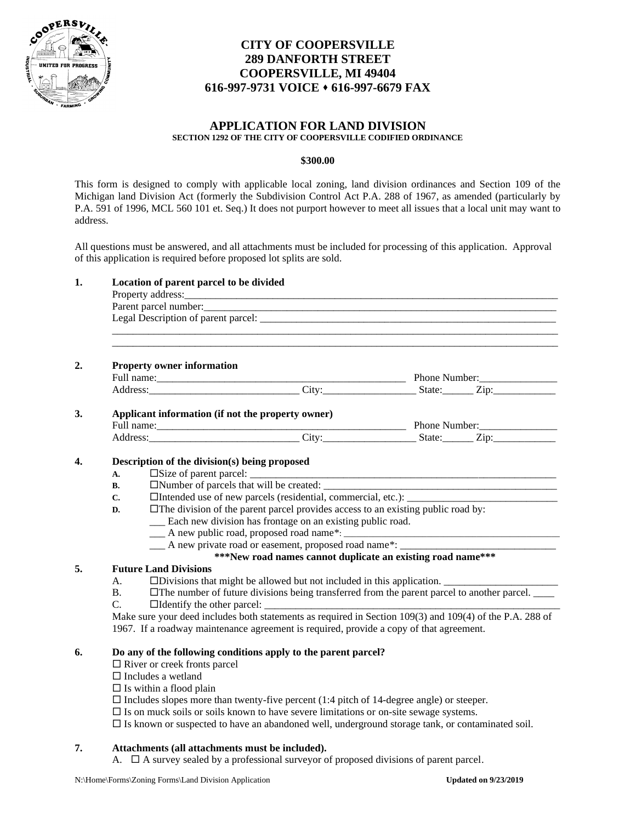

# **CITY OF COOPERSVILLE 289 DANFORTH STREET COOPERSVILLE, MI 49404 616-997-9731 VOICE** ⬧ **616-997-6679 FAX**

# **APPLICATION FOR LAND DIVISION SECTION 1292 OF THE CITY OF COOPERSVILLE CODIFIED ORDINANCE**

### **\$300.00**

This form is designed to comply with applicable local zoning, land division ordinances and Section 109 of the Michigan land Division Act (formerly the Subdivision Control Act P.A. 288 of 1967, as amended (particularly by P.A. 591 of 1996, MCL 560 101 et. Seq.) It does not purport however to meet all issues that a local unit may want to address.

All questions must be answered, and all attachments must be included for processing of this application. Approval of this application is required before proposed lot splits are sold.

|           | <b>Property owner information</b>                                                                        |                                                                                                                                                                                                               |  |  |  |
|-----------|----------------------------------------------------------------------------------------------------------|---------------------------------------------------------------------------------------------------------------------------------------------------------------------------------------------------------------|--|--|--|
|           |                                                                                                          |                                                                                                                                                                                                               |  |  |  |
|           |                                                                                                          | Address: Zip: City: City: State: Zip:                                                                                                                                                                         |  |  |  |
|           | Applicant information (if not the property owner)                                                        |                                                                                                                                                                                                               |  |  |  |
|           |                                                                                                          |                                                                                                                                                                                                               |  |  |  |
|           |                                                                                                          | Address: Zip: Zip:                                                                                                                                                                                            |  |  |  |
|           |                                                                                                          |                                                                                                                                                                                                               |  |  |  |
|           | Description of the division(s) being proposed                                                            |                                                                                                                                                                                                               |  |  |  |
| A.        |                                                                                                          |                                                                                                                                                                                                               |  |  |  |
| <b>B.</b> |                                                                                                          |                                                                                                                                                                                                               |  |  |  |
| C.        |                                                                                                          | □Intended use of new parcels (residential, commercial, etc.):                                                                                                                                                 |  |  |  |
| D.        |                                                                                                          | $\Box$ The division of the parent parcel provides access to an existing public road by:                                                                                                                       |  |  |  |
|           |                                                                                                          | __ Each new division has frontage on an existing public road.                                                                                                                                                 |  |  |  |
|           |                                                                                                          |                                                                                                                                                                                                               |  |  |  |
|           |                                                                                                          | ____ A new private road or easement, proposed road name*: _______________________<br>***New road names cannot duplicate an existing road name***                                                              |  |  |  |
|           | <b>Future Land Divisions</b>                                                                             |                                                                                                                                                                                                               |  |  |  |
| А.        |                                                                                                          |                                                                                                                                                                                                               |  |  |  |
| <b>B.</b> |                                                                                                          | $\Box$ The number of future divisions being transferred from the parent parcel to another parcel.                                                                                                             |  |  |  |
| C.        |                                                                                                          |                                                                                                                                                                                                               |  |  |  |
|           | Make sure your deed includes both statements as required in Section 109(3) and 109(4) of the P.A. 288 of |                                                                                                                                                                                                               |  |  |  |
|           |                                                                                                          | 1967. If a roadway maintenance agreement is required, provide a copy of that agreement.                                                                                                                       |  |  |  |
|           |                                                                                                          |                                                                                                                                                                                                               |  |  |  |
|           |                                                                                                          |                                                                                                                                                                                                               |  |  |  |
|           |                                                                                                          | Do any of the following conditions apply to the parent parcel?                                                                                                                                                |  |  |  |
|           | $\Box$ River or creek fronts parcel                                                                      |                                                                                                                                                                                                               |  |  |  |
|           | $\Box$ Includes a wetland                                                                                |                                                                                                                                                                                                               |  |  |  |
|           | $\Box$ Is within a flood plain                                                                           |                                                                                                                                                                                                               |  |  |  |
|           |                                                                                                          | $\Box$ Includes slopes more than twenty-five percent (1:4 pitch of 14-degree angle) or steeper.                                                                                                               |  |  |  |
|           |                                                                                                          | $\square$ Is on muck soils or soils known to have severe limitations or on-site sewage systems.<br>$\square$ Is known or suspected to have an abandoned well, underground storage tank, or contaminated soil. |  |  |  |